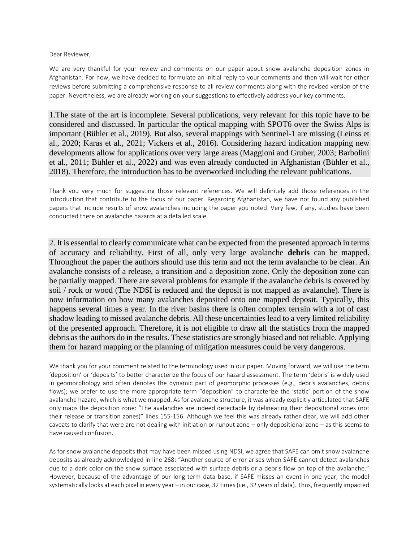Dear Reviewer,

We are very thankful for your review and comments on our paper about snow avalanche deposition zones in Afghanistan. For now, we have decided to formulate an initial reply to your comments and then will wait for other reviews before submitting a comprehensive response to all review comments along with the revised version of the paper. Nevertheless, we are already working on your suggestions to effectively address your key comments.

1.The state of the art is incomplete. Several publications, very relevant for this topic have to be considered and discussed. In particular the optical mapping with SPOT6 over the Swiss Alps is important (Bühler et al., 2019). But also, several mappings with Sentinel-1 are missing (Leinss et al., 2020; Karas et al., 2021; Vickers et al., 2016). Considering hazard indication mapping new developments allow for applications over very large areas (Maggioni and Gruber, 2003; Barbolini et al., 2011; Bühler et al., 2022) and was even already conducted in Afghanistan (Bühler et al., 2018). Therefore, the introduction has to be overworked including the relevant publications.

Thank you very much for suggesting those relevant references. We will definitely add those references in the Introduction that contribute to the focus of our paper. Regarding Afghanistan, we have not found any published papers that include results of snow avalanches including the paper you noted. Very few, if any, studies have been conducted there on avalanche hazards at a detailed scale.

2. It is essential to clearly communicate what can be expected from the presented approach in terms of accuracy and reliability. First of all, only very large avalanche **debris** can be mapped. Throughout the paper the authors should use this term and not the term avalanche to be clear. An avalanche consists of a release, a transition and a deposition zone. Only the deposition zone can be partially mapped. There are several problems for example if the avalanche debris is covered by soil / rock or wood (The NDSI is reduced and the deposit is not mapped as avalanche). There is now information on how many avalanches deposited onto one mapped deposit. Typically, this happens several times a year. In the river basins there is often complex terrain with a lot of cast shadow leading to missed avalanche debris. All these uncertainties lead to a very limited reliability of the presented approach. Therefore, it is not eligible to draw all the statistics from the mapped debris as the authors do in the results. These statistics are strongly biased and not reliable. Applying them for hazard mapping or the planning of mitigation measures could be very dangerous.

We thank you for your comment related to the terminology used in our paper. Moving forward, we will use the term 'deposition' or 'deposits' to better characterize the focus of our hazard assessment. The term 'debris' is widely used in geomorphology and often denotes the dynamic part of geomorphic processes (e.g., debris avalanches, debris flows); we prefer to use the more appropriate term "deposition" to characterize the 'static' portion of the snow avalanche hazard, which is what we mapped. As for avalanche structure, it was already explicitly articulated that SAFE only maps the deposition zone: "The avalanches are indeed detectable by delineating their depositional zones (not their release or transition zones)" lines 155-156. Although we feel this was already rather clear, we will add other caveats to clarify that were are not dealing with initiation or runout zone – only depositional zone – as this seems to have caused confusion.

As for snow avalanche deposits that may have been missed using NDSI, we agree that SAFE can omit snow avalanche deposits as already acknowledged in line 268: "Another source of error arises when SAFE cannot detect avalanches due to a dark color on the snow surface associated with surface debris or a debris flow on top of the avalanche." However, because of the advantage of our long-term data base, if SAFE misses an event in one year, the model systematically looks at each pixel in every year – in our case, 32 times (i.e., 32 years of data). Thus, frequently impacted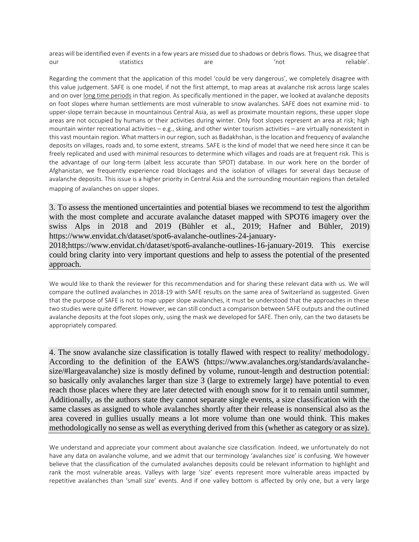areas will be identified even if events in a few years are missed due to shadows or debris flows. Thus, we disagree that our statistics are 'not 'not reliable'.

Regarding the comment that the application of this model 'could be very dangerous', we completely disagree with this value judgement. SAFE is one model, if not the first attempt, to map areas at avalanche risk across large scales and on over long time periods in that region. As specifically mentioned in the paper, we looked at avalanche deposits on foot slopes where human settlements are most vulnerable to snow avalanches. SAFE does not examine mid- to upper-slope terrain because in mountainous Central Asia, as well as proximate mountain regions, these upper slope areas are not occupied by humans or their activities during winter. Only foot slopes represent an area at risk; high mountain winter recreational activities – e.g., skiing, and other winter tourism activities – are virtually nonexistent in this vast mountain region. What matters in our region, such as Badakhshan, is the location and frequency of avalanche deposits on villages, roads and, to some extent, streams. SAFE is the kind of model that we need here since it can be freely replicated and used with minimal resources to determine which villages and roads are at frequent risk. This is the advantage of our long-term (albeit less accurate than SPOT) database. In our work here on the border of Afghanistan, we frequently experience road blockages and the isolation of villages for several days because of avalanche deposits. This issue is a higher priority in Central Asia and the surrounding mountain regions than detailed mapping of avalanches on upper slopes.

3. To assess the mentioned uncertainties and potential biases we recommend to test the algorithm with the most complete and accurate avalanche dataset mapped with SPOT6 imagery over the swiss Alps in 2018 and 2019 (Bühler et al., 2019; Hafner and Bühler, 2019) https://www.envidat.ch/dataset/spot6-avalanche-outlines-24-january-

2018;https://www.envidat.ch/dataset/spot6-avalanche-outlines-16-january-2019. This exercise could bring clarity into very important questions and help to assess the potential of the presented approach.

We would like to thank the reviewer for this recommendation and for sharing these relevant data with us. We will compare the outlined avalanches in 2018-19 with SAFE results on the same area of Switzerland as suggested. Given that the purpose of SAFE is not to map upper slope avalanches, it must be understood that the approaches in these two studies were quite different. However, we can still conduct a comparison between SAFE outputs and the outlined avalanche deposits at the foot slopes only, using the mask we developed for SAFE. Then only, can the two datasets be appropriately compared.

4. The snow avalanche size classification is totally flawed with respect to reality/ methodology. According to the definition of the EAWS (https://www.avalanches.org/standards/avalanchesize/#largeavalanche) size is mostly defined by volume, runout-length and destruction potential: so basically only avalanches larger than size 3 (large to extremely large) have potential to even reach those places where they are later detected with enough snow for it to remain until summer, Additionally, as the authors state they cannot separate single events, a size classification with the same classes as assigned to whole avalanches shortly after their release is nonsensical also as the area covered in gullies usually means a lot more volume than one would think. This makes methodologically no sense as well as everything derived from this (whether as category or as size).

We understand and appreciate your comment about avalanche size classification. Indeed, we unfortunately do not have any data on avalanche volume, and we admit that our terminology 'avalanches size' is confusing. We however believe that the classification of the cumulated avalanches deposits could be relevant information to highlight and rank the most vulnerable areas. Valleys with large 'size' events represent more vulnerable areas impacted by repetitive avalanches than 'small size' events. And if one valley bottom is affected by only one, but a very large